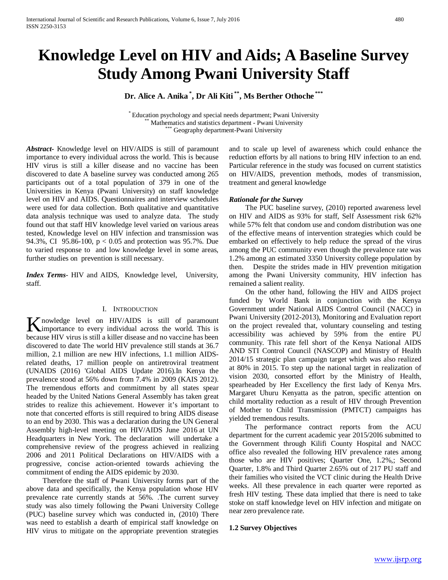# **Knowledge Level on HIV and Aids; A Baseline Survey Study Among Pwani University Staff**

**Dr. Alice A. Anika \* , Dr Ali Kiti \*\*, Ms Berther Othoche \*\*\***

\* Education psychology and special needs department; Pwani University \*\* Mathematics and statistics department - Pwani University \*\*\* Geography department-Pwani University

*Abstract***-** Knowledge level on HIV/AIDS is still of paramount importance to every individual across the world. This is because HIV virus is still a killer disease and no vaccine has been discovered to date A baseline survey was conducted among 265 participants out of a total population of 379 in one of the Universities in Kenya (Pwani University) on staff knowledge level on HIV and AIDS. Questionnaires and interview schedules were used for data collection. Both qualitative and quantitative data analysis technique was used to analyze data. The study found out that staff HIV knowledge level varied on various areas tested, Knowledge level on HIV infection and transmission was 94.3%, CI 95.86-100, p < 0.05 and protection was 95.7%. Due to varied response to and low knowledge level in some areas, further studies on prevention is still necessary.

*Index Terms*- HIV and AIDS, Knowledge level, University, staff.

#### I. INTRODUCTION

nowledge level on HIV/AIDS is still of paramount **K** nowledge level on HIV/AIDS is still of paramount importance to every individual across the world. This is because HIV virus is still a killer disease and no vaccine has been discovered to date The world HIV prevalence still stands at 36.7 million, 2.1 million are new HIV infections, 1.1 million AIDSrelated deaths, 17 million people on antiretroviral treatment (UNAIDS (2016) 'Global AIDS Update 2016).In Kenya the prevalence stood at 56% down from 7.4% in 2009 (KAIS 2012). The tremendous efforts and commitment by all states spear headed by the United Nations General Assembly has taken great strides to realize this achievement. However it's important to note that concerted efforts is still required to bring AIDS disease to an end by 2030. This was a declaration during the UN General Assembly high-level meeting on HIV/AIDS June 2016 at UN Headquarters in New York. The declaration will undertake a comprehensive review of the progress achieved in realizing 2006 and 2011 Political Declarations on HIV/AIDS with a progressive, concise action-oriented towards achieving the commitment of ending the AIDS epidemic by 2030.

 Therefore the staff of Pwani University forms part of the above data and specifically, the Kenya population whose HIV prevalence rate currently stands at 56%. .The current survey study was also timely following the Pwani University College (PUC) baseline survey which was conducted in, (2010) There was need to establish a dearth of empirical staff knowledge on HIV virus to mitigate on the appropriate prevention strategies

and to scale up level of awareness which could enhance the reduction efforts by all nations to bring HIV infection to an end. Particular reference in the study was focused on current statistics on HIV/AIDS, prevention methods, modes of transmission, treatment and general knowledge

#### *Rationale for the Survey*

 The PUC baseline survey, (2010) reported awareness level on HIV and AIDS as 93% for staff, Self Assessment risk 62% while 57% felt that condom use and condom distribution was one of the effective means of intervention strategies which could be embarked on effectively to help reduce the spread of the virus among the PUC community even though the prevalence rate was 1.2% among an estimated 3350 University college population by then. Despite the strides made in HIV prevention mitigation among the Pwani University community, HIV infection has remained a salient reality.

 On the other hand, following the HIV and AIDS project funded by World Bank in conjunction with the Kenya Government under National AIDS Control Council (NACC) in Pwani University (2012-2013), Monitoring and Evaluation report on the project revealed that, voluntary counseling and testing accessibility was achieved by 59% from the entire PU community. This rate fell short of the Kenya National AIDS AND STI Control Council (NASCOP) and Ministry of Health 2014/15 strategic plan campaign target which was also realized at 80% in 2015. To step up the national target in realization of vision 2030, consorted effort by the Ministry of Health, spearheaded by Her Excellency the first lady of Kenya Mrs. Margaret Uhuru Kenyatta as the patron, specific attention on child mortality reduction as a result of HIV through Prevention of Mother to Child Transmission (PMTCT) campaigns has yielded tremendous results.

 The performance contract reports from the ACU department for the current academic year 2015/20I6 submitted to the Government through Kilifi County Hospital and NACC office also revealed the following HIV prevalence rates among those who are HIV positives; Quarter One, 1.2%,; Second Quarter, 1.8% and Third Quarter 2.65% out of 217 PU staff and their families who visited the VCT clinic during the Health Drive weeks. All these prevalence in each quarter were reported as fresh HIV testing. These data implied that there is need to take stoke on staff knowledge level on HIV infection and mitigate on near zero prevalence rate.

#### **1.2 Survey Objectives**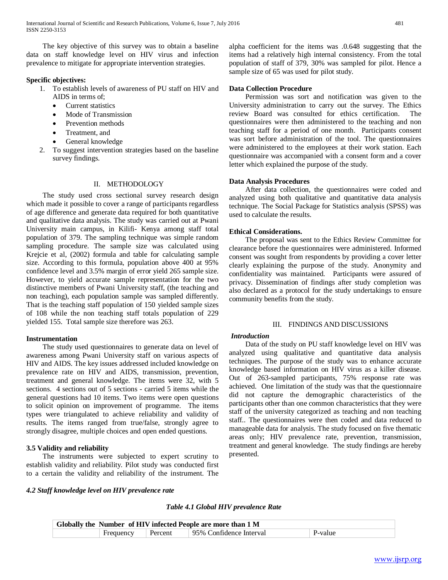The key objective of this survey was to obtain a baseline data on staff knowledge level on HIV virus and infection prevalence to mitigate for appropriate intervention strategies.

#### **Specific objectives:**

- 1. To establish levels of awareness of PU staff on HIV and AIDS in terms of;
	- Current statistics
	- Mode of Transmission
	- Prevention methods
	- Treatment, and
	- General knowledge
- 2. To suggest intervention strategies based on the baseline survey findings.

#### II. METHODOLOGY

 The study used cross sectional survey research design which made it possible to cover a range of participants regardless of age difference and generate data required for both quantitative and qualitative data analysis. The study was carried out at Pwani University main campus, in Kilifi- Kenya among staff total population of 379. The sampling technique was simple random sampling procedure. The sample size was calculated using Krejcie et al, (2002) formula and table for calculating sample size. According to this formula, population above 400 at 95% confidence level and 3.5% margin of error yield 265 sample size. However, to yield accurate sample representation for the two distinctive members of Pwani University staff, (the teaching and non teaching), each population sample was sampled differently. That is the teaching staff population of 150 yielded sample sizes of 108 while the non teaching staff totals population of 229 yielded 155. Total sample size therefore was 263.

#### **Instrumentation**

 The study used questionnaires to generate data on level of awareness among Pwani University staff on various aspects of HIV and AIDS. The key issues addressed included knowledge on prevalence rate on HIV and AIDS, transmission, prevention, treatment and general knowledge. The items were 32, with 5 sections. 4 sections out of 5 sections - carried 5 items while the general questions had 10 items. Two items were open questions to solicit opinion on improvement of programme. The items types were triangulated to achieve reliability and validity of results. The items ranged from true/false, strongly agree to strongly disagree, multiple choices and open ended questions.

## **3.5 Validity and reliability**

 The instruments were subjected to expert scrutiny to establish validity and reliability. Pilot study was conducted first to a certain the validity and reliability of the instrument. The alpha coefficient for the items was .0.648 suggesting that the items had a relatively high internal consistency. From the total population of staff of 379, 30% was sampled for pilot. Hence a sample size of 65 was used for pilot study.

## **Data Collection Procedure**

 Permission was sort and notification was given to the University administration to carry out the survey. The Ethics review Board was consulted for ethics certification. The questionnaires were then administered to the teaching and non teaching staff for a period of one month. Participants consent was sort before administration of the tool. The questionnaires were administered to the employees at their work station. Each questionnaire was accompanied with a consent form and a cover letter which explained the purpose of the study.

#### **Data Analysis Procedures**

 After data collection, the questionnaires were coded and analyzed using both qualitative and quantitative data analysis technique. The Social Package for Statistics analysis (SPSS) was used to calculate the results.

## **Ethical Considerations.**

 The proposal was sent to the Ethics Review Committee for clearance before the questionnaires were administered. Informed consent was sought from respondents by providing a cover letter clearly explaining the purpose of the study. Anonymity and confidentiality was maintained. Participants were assured of privacy. Dissemination of findings after study completion was also declared as a protocol for the study undertakings to ensure community benefits from the study.

#### III. FINDINGS AND DISCUSSIONS

#### *Introduction*

 Data of the study on PU staff knowledge level on HIV was analyzed using qualitative and quantitative data analysis techniques. The purpose of the study was to enhance accurate knowledge based information on HIV virus as a killer disease. Out of 263-sampled participants, 75% response rate was achieved. One limitation of the study was that the questionnaire did not capture the demographic characteristics of the participants other than one common characteristics that they were staff of the university categorized as teaching and non teaching staff.. The questionnaires were then coded and data reduced to manageable data for analysis. The study focused on five thematic areas only; HIV prevalence rate, prevention, transmission, treatment and general knowledge. The study findings are hereby presented.

#### *4.2 Staff knowledge level on HIV prevalence rate*

## *Table 4.1 Global HIV prevalence Rate*

|                   | Globally the Number of HIV infected People are more than 1 M |                           |
|-------------------|--------------------------------------------------------------|---------------------------|
| Frequency Percent | 95% Confidence Interval                                      | $\mathsf{P}\text{-value}$ |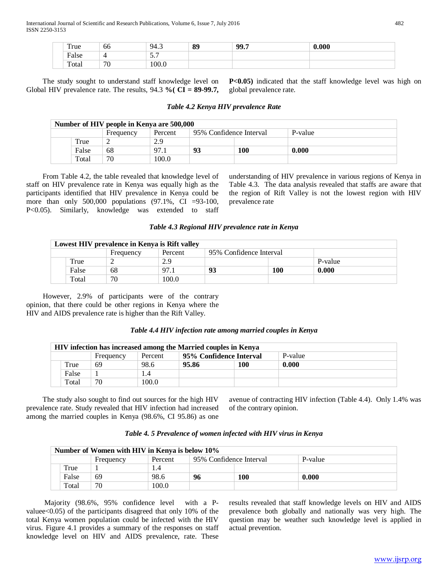| True  | -00                 | 94.5   | 89 | 99.7 | 0.000 |
|-------|---------------------|--------|----|------|-------|
| False |                     | -<br>. |    |      |       |
| Total | $\overline{H}$<br>ν | 100.0  |    |      |       |

 The study sought to understand staff knowledge level on Global HIV prevalence rate. The results, 94.3 **%( CI = 89-99.7,**  **P<0.05)** indicated that the staff knowledge level was high on global prevalence rate.

|       | Number of HIV people in Kenya are 500,000 |         |                         |     |         |
|-------|-------------------------------------------|---------|-------------------------|-----|---------|
|       | Frequency                                 | Percent | 95% Confidence Interval |     | P-value |
| True  |                                           | 2.9     |                         |     |         |
| False | 68                                        | 97.1    | 93                      | 100 | 0.000   |
| Total | 70                                        | 100.0   |                         |     |         |

 From Table 4.2, the table revealed that knowledge level of staff on HIV prevalence rate in Kenya was equally high as the participants identified that HIV prevalence in Kenya could be more than only 500,000 populations (97.1%, CI =93-100, P<0.05). Similarly, knowledge was extended to staff understanding of HIV prevalence in various regions of Kenya in Table 4.3. The data analysis revealed that staffs are aware that the region of Rift Valley is not the lowest region with HIV prevalence rate

#### *Table 4.3 Regional HIV prevalence rate in Kenya*

|       | Lowest HIV prevalence in Kenya is Rift valley |         |                         |     |         |
|-------|-----------------------------------------------|---------|-------------------------|-----|---------|
|       | Frequency                                     | Percent | 95% Confidence Interval |     |         |
| True  |                                               | 2.9     |                         |     | P-value |
| False | 68                                            | 97.1    | 93                      | 100 | 0.000   |
| Total | 70                                            | 100.0   |                         |     |         |

 However, 2.9% of participants were of the contrary opinion, that there could be other regions in Kenya where the HIV and AIDS prevalence rate is higher than the Rift Valley.

| Table 4.4 HIV infection rate among married couples in Kenya |  |  |  |
|-------------------------------------------------------------|--|--|--|
|                                                             |  |  |  |

|       |           |         |       | HIV infection has increased among the Married couples in Kenya |         |  |
|-------|-----------|---------|-------|----------------------------------------------------------------|---------|--|
|       | Frequency | Percent |       | 95% Confidence Interval                                        | P-value |  |
| True  | 69        | 98.6    | 95.86 | 100                                                            | 0.000   |  |
| False |           | 1.4     |       |                                                                |         |  |
| Total | 70        | 100.0   |       |                                                                |         |  |

 The study also sought to find out sources for the high HIV prevalence rate. Study revealed that HIV infection had increased among the married couples in Kenya (98.6%, CI 95.86) as one avenue of contracting HIV infection (Table 4.4). Only 1.4% was of the contrary opinion.

| Table 4. 5 Prevalence of women infected with HIV virus in Kenya |  |  |  |  |  |
|-----------------------------------------------------------------|--|--|--|--|--|
|-----------------------------------------------------------------|--|--|--|--|--|

|       | Number of Women with HIV in Kenya is below 10% |         |                         |     |         |  |
|-------|------------------------------------------------|---------|-------------------------|-----|---------|--|
|       | Frequency                                      | Percent | 95% Confidence Interval |     | P-value |  |
| True  |                                                | I.4     |                         |     |         |  |
| False | 69                                             | 98.6    | 96                      | 100 | 0.000   |  |
| Total | 70                                             | 100.0   |                         |     |         |  |

 Majority (98.6%, 95% confidence level with a Pvaluee<0.05) of the participants disagreed that only 10% of the total Kenya women population could be infected with the HIV virus. Figure 4.1 provides a summary of the responses on staff knowledge level on HIV and AIDS prevalence, rate. These results revealed that staff knowledge levels on HIV and AIDS prevalence both globally and nationally was very high. The question may be weather such knowledge level is applied in actual prevention.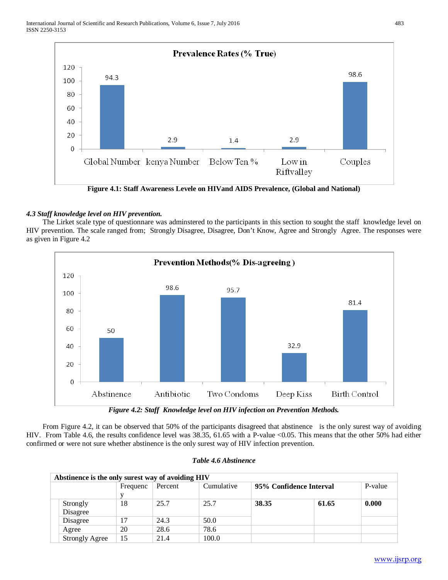

**Figure 4.1: Staff Awareness Levele on HIVand AIDS Prevalence, (Global and National)**

# *4.3 Staff knowledge level on HIV prevention.*

 The Lirket scale type of questionnare was adminstered to the participants in this section to sought the staff knowledge level on HIV prevention. The scale ranged from; Strongly Disagree, Disagree, Don't Know, Agree and Strongly Agree. The responses were as given in Figure 4.2



*Figure 4.2: Staff Knowledge level on HIV infection on Prevention Methods.*

 From Figure 4.2, it can be observed that 50% of the participants disagreed that abstinence is the only surest way of avoiding HIV. From Table 4.6, the results confidence level was 38.35, 61.65 with a P-value <0.05. This means that the other 50% had either confirmed or were not sure whether abstinence is the only surest way of HIV infection prevention.

| Abstinence is the only surest way of avoiding HIV |          |         |            |                         |       |         |
|---------------------------------------------------|----------|---------|------------|-------------------------|-------|---------|
|                                                   | Frequenc | Percent | Cumulative | 95% Confidence Interval |       | P-value |
| Strongly<br>Disagree                              | 18       | 25.7    | 25.7       | 38.35                   | 61.65 | 0.000   |
| Disagree                                          | 17       | 24.3    | 50.0       |                         |       |         |
| Agree                                             | 20       | 28.6    | 78.6       |                         |       |         |
| <b>Strongly Agree</b>                             | 15       | 21.4    | 100.0      |                         |       |         |

| Table 4.6 Abstinence |  |
|----------------------|--|
|----------------------|--|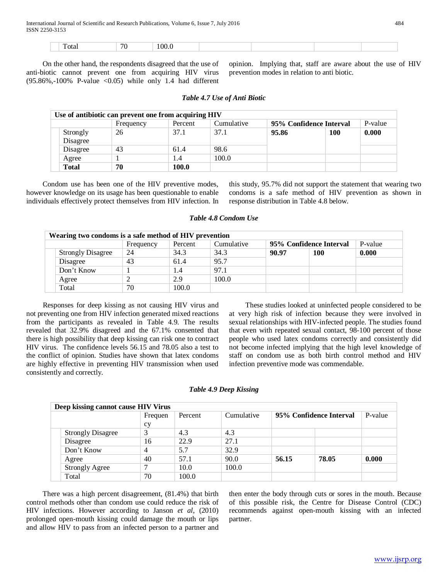|  |  | Total | 70 | . |  |  |  |  |
|--|--|-------|----|---|--|--|--|--|
|--|--|-------|----|---|--|--|--|--|

 On the other hand, the respondents disagreed that the use of anti-biotic cannot prevent one from acquiring HIV virus  $(95.86\%, -100\% \text{ P-value} < 0.05)$  while only 1.4 had different opinion. Implying that, staff are aware about the use of HIV prevention modes in relation to anti biotic.

|                      | Use of antibiotic can prevent one from acquiring HIV |         |                                |                         |            |         |
|----------------------|------------------------------------------------------|---------|--------------------------------|-------------------------|------------|---------|
|                      | Frequency                                            | Percent | Cumulative                     | 95% Confidence Interval |            | P-value |
| Strongly<br>Disagree | 26                                                   | 37.1    | 37.1<br>95.86<br>98.6<br>100.0 |                         | <b>100</b> | 0.000   |
| Disagree             | 43                                                   | 61.4    |                                |                         |            |         |
| Agree                |                                                      | 1.4     |                                |                         |            |         |
| <b>Total</b>         | 70                                                   | 100.0   |                                |                         |            |         |
|                      |                                                      |         |                                |                         |            |         |

#### *Table 4.7 Use of Anti Biotic*

 Condom use has been one of the HIV preventive modes, however knowledge on its usage has been questionable to enable individuals effectively protect themselves from HIV infection. In this study, 95.7% did not support the statement that wearing two condoms is a safe method of HIV prevention as shown in response distribution in Table 4.8 below.

|  | Table 4.8 Condom Use |  |
|--|----------------------|--|
|  |                      |  |

|  | Wearing two condoms is a safe method of HIV prevention |           |         |            |                         |     |         |  |  |  |
|--|--------------------------------------------------------|-----------|---------|------------|-------------------------|-----|---------|--|--|--|
|  |                                                        | Frequency | Percent | Cumulative | 95% Confidence Interval |     | P-value |  |  |  |
|  | <b>Strongly Disagree</b>                               | 24        | 34.3    | 34.3       | 90.97                   | 100 | 0.000   |  |  |  |
|  | Disagree                                               | 43        | 61.4    | 95.7       |                         |     |         |  |  |  |
|  | Don't Know                                             |           | 1.4     | 97.1       |                         |     |         |  |  |  |
|  | Agree                                                  |           | 2.9     | 100.0      |                         |     |         |  |  |  |
|  | Total                                                  | 70        | 100.0   |            |                         |     |         |  |  |  |

 Responses for deep kissing as not causing HIV virus and not preventing one from HIV infection generated mixed reactions from the participants as revealed in Table 4.9. The results revealed that 32.9% disagreed and the 67.1% consented that there is high possibility that deep kissing can risk one to contract HIV virus. The confidence levels 56.15 and 78.05 also a test to the conflict of opinion. Studies have shown that latex condoms are highly effective in preventing HIV transmission when used consistently and correctly.

 These studies looked at uninfected people considered to be at very high risk of infection because they were involved in sexual relationships with HIV-infected people. The studies found that even with repeated sexual contact, 98-100 percent of those people who used latex condoms correctly and consistently did not become infected implying that the high level knowledge of staff on condom use as both birth control method and HIV infection preventive mode was commendable.

#### *Table 4.9 Deep Kissing*

|  | Deep kissing cannot cause HIV Virus |         |         |            |                         |       |         |
|--|-------------------------------------|---------|---------|------------|-------------------------|-------|---------|
|  |                                     | Frequen | Percent | Cumulative | 95% Confidence Interval |       | P-value |
|  |                                     | cy      |         |            |                         |       |         |
|  | <b>Strongly Disagree</b>            | 3       | 4.3     | 4.3        |                         |       |         |
|  | Disagree                            | 16      | 22.9    | 27.1       |                         |       |         |
|  | Don't Know                          | 4       | 5.7     | 32.9       |                         |       |         |
|  | Agree                               | 40      | 57.1    | 90.0       | 56.15                   | 78.05 | 0.000   |
|  | <b>Strongly Agree</b>               | ⇁       | 10.0    | 100.0      |                         |       |         |
|  | Total                               | 70      | 100.0   |            |                         |       |         |

 There was a high percent disagreement, (81.4%) that birth control methods other than condom use could reduce the risk of HIV infections. However according to Janson *et al*, (2010) prolonged open-mouth kissing could damage the mouth or lips and allow HIV to pass from an infected person to a partner and

then enter the body through cuts or sores in the mouth. Because of this possible risk, the Centre for Disease Control (CDC) recommends against open-mouth kissing with an infected partner.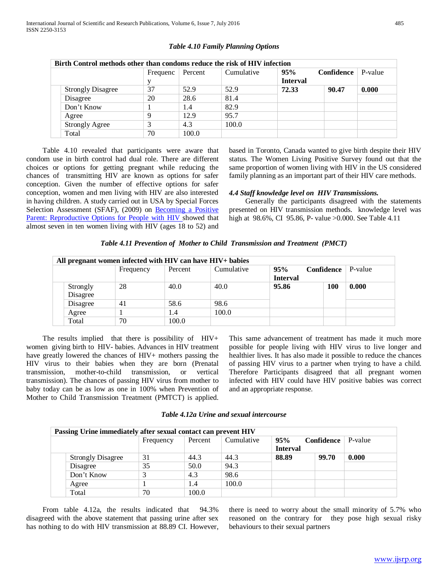|  | Birth Control methods other than condoms reduce the risk of HIV infection |          |         |            |                 |            |         |  |  |  |
|--|---------------------------------------------------------------------------|----------|---------|------------|-----------------|------------|---------|--|--|--|
|  |                                                                           | Frequenc | Percent | Cumulative | 95%             | Confidence | P-value |  |  |  |
|  |                                                                           |          |         |            | <b>Interval</b> |            |         |  |  |  |
|  | <b>Strongly Disagree</b>                                                  | 37       | 52.9    | 52.9       | 72.33           | 90.47      | 0.000   |  |  |  |
|  | Disagree                                                                  | 20       | 28.6    | 81.4       |                 |            |         |  |  |  |
|  | Don't Know                                                                |          | 1.4     | 82.9       |                 |            |         |  |  |  |
|  | Agree                                                                     | Q        | 12.9    | 95.7       |                 |            |         |  |  |  |
|  | <b>Strongly Agree</b>                                                     |          | 4.3     | 100.0      |                 |            |         |  |  |  |
|  | Total                                                                     | 70       | 100.0   |            |                 |            |         |  |  |  |

#### *Table 4.10 Family Planning Options*

 Table 4.10 revealed that participants were aware that condom use in birth control had dual role. There are different choices or options for getting pregnant while reducing the chances of transmitting HIV are known as options for safer conception. Given the number of effective options for safer conception, women and men living with HIV are also interested in having children. A study carried out in USA by Special Forces Selection Assessment (SFAF), (2009) on [Becoming a Positive](http://www.sfaf.org/hiv-info/hot-topics/beta/2011-beta-winterspring-fertility.pdf)  [Parent: Reproductive Options for People with HIV s](http://www.sfaf.org/hiv-info/hot-topics/beta/2011-beta-winterspring-fertility.pdf)howed that almost seven in ten women living with HIV (ages 18 to 52) and

based in Toronto, Canada wanted to give birth despite their HIV status. The Women Living Positive Survey found out that the same proportion of women living with HIV in the US considered family planning as an important part of their HIV care methods.

#### *4.4 Staff knowledge level on HIV Transmissions.*

 Generally the participants disagreed with the statements presented on HIV transmission methods. knowledge level was high at 98.6%, CI 95.86, P- value >0.000. See Table 4.11

|  |  | Table 4.11 Prevention of Mother to Child Transmission and Treatment (PMCT) |  |
|--|--|----------------------------------------------------------------------------|--|
|--|--|----------------------------------------------------------------------------|--|

| All pregnant women infected with HIV can have HIV+ babies |           |         |            |                 |            |         |  |  |  |
|-----------------------------------------------------------|-----------|---------|------------|-----------------|------------|---------|--|--|--|
|                                                           | Frequency | Percent | Cumulative | 95%             | Confidence | P-value |  |  |  |
|                                                           |           |         |            | <b>Interval</b> |            |         |  |  |  |
| Strongly                                                  | 28        | 40.0    | 40.0       | 95.86           | 100        | 0.000   |  |  |  |
| Disagree                                                  |           |         |            |                 |            |         |  |  |  |
| Disagree                                                  | 41        | 58.6    | 98.6       |                 |            |         |  |  |  |
| Agree                                                     |           | 1.4     | 100.0      |                 |            |         |  |  |  |
| Total                                                     | 70        | 100.0   |            |                 |            |         |  |  |  |

 The results implied that there is possibility of HIV+ women giving birth to HIV- babies. Advances in HIV treatment have greatly lowered the chances of HIV+ mothers passing the HIV virus to their babies when they are born (Prenatal transmission, mother-to-child transmission, or vertical transmission). The chances of passing HIV virus from mother to baby today can be as low as one in 100% when Prevention of Mother to Child Transmission Treatment (PMTCT) is applied.

This same advancement of treatment has made it much more possible for people living with HIV virus to live longer and healthier lives. It has also made it possible to reduce the chances of passing HIV virus to a partner when trying to have a child. Therefore Participants disagreed that all pregnant women infected with HIV could have HIV positive babies was correct and an appropriate response.

| Table 4.12a Urine and sexual intercourse |  |  |
|------------------------------------------|--|--|
|------------------------------------------|--|--|

| Passing Urine immediately after sexual contact can prevent HIV |           |         |            |                 |                   |         |  |  |
|----------------------------------------------------------------|-----------|---------|------------|-----------------|-------------------|---------|--|--|
|                                                                | Frequency | Percent | Cumulative | 95%             | <b>Confidence</b> | P-value |  |  |
|                                                                |           |         |            | <b>Interval</b> |                   |         |  |  |
| <b>Strongly Disagree</b>                                       | 31        | 44.3    | 44.3       | 88.89           | 99.70             | 0.000   |  |  |
| Disagree                                                       | 35        | 50.0    | 94.3       |                 |                   |         |  |  |
| Don't Know                                                     |           | 4.3     | 98.6       |                 |                   |         |  |  |
| Agree                                                          |           | 1.4     | 100.0      |                 |                   |         |  |  |
| Total                                                          | 70        | 100.0   |            |                 |                   |         |  |  |

From table 4.12a, the results indicated that 94.3% disagreed with the above statement that passing urine after sex has nothing to do with HIV transmission at 88.89 CI. However, there is need to worry about the small minority of 5.7% who reasoned on the contrary for they pose high sexual risky behaviours to their sexual partners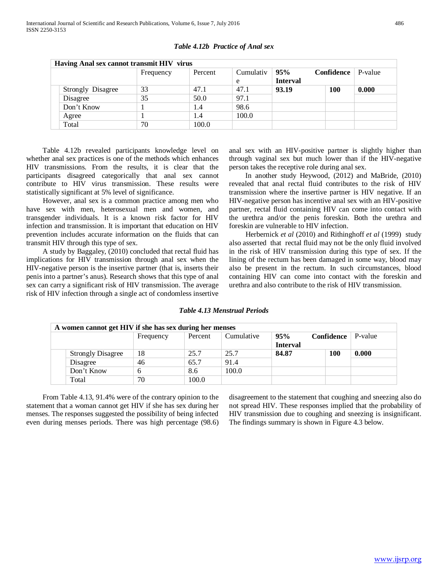| Having Anal sex cannot transmit HIV virus |           |         |           |                 |            |         |  |  |
|-------------------------------------------|-----------|---------|-----------|-----------------|------------|---------|--|--|
|                                           | Frequency | Percent | Cumulativ | 95%             | Confidence | P-value |  |  |
|                                           |           |         | e         | <b>Interval</b> |            |         |  |  |
| Strongly Disagree                         | 33        | 47.1    | 47.1      | 93.19           | 100        | 0.000   |  |  |
| Disagree                                  | 35        | 50.0    | 97.1      |                 |            |         |  |  |
| Don't Know                                |           | 1.4     | 98.6      |                 |            |         |  |  |
| Agree                                     |           | 1.4     | 100.0     |                 |            |         |  |  |
| Total                                     | 70        | 100.0   |           |                 |            |         |  |  |

## *Table 4.12b Practice of Anal sex*

 Table 4.12b revealed participants knowledge level on whether anal sex practices is one of the methods which enhances HIV transmissions. From the results, it is clear that the participants disagreed categorically that anal sex cannot contribute to HIV virus transmission. These results were statistically significant at 5% level of significance.

 However, anal sex is a common practice among men who have sex with men, heterosexual men and women, and transgender individuals. It is a known risk factor for HIV infection and transmission. It is important that education on HIV prevention includes accurate information on the fluids that can transmit HIV through this type of sex.

 A study by Baggaley, (2010) concluded that rectal fluid has implications for HIV transmission through anal sex when the HIV-negative person is the insertive partner (that is, inserts their penis into a partner's anus). Research shows that this type of anal sex can carry a significant risk of HIV transmission. The average risk of HIV infection through a single act of condomless insertive

anal sex with an HIV-positive partner is slightly higher than through vaginal sex but much lower than if the HIV-negative person takes the receptive role during anal sex.

 In another study Heywood, (2012) and MaBride, (2010) revealed that anal rectal fluid contributes to the risk of HIV transmission where the insertive partner is HIV negative. If an HIV-negative person has incentive anal sex with an HIV-positive partner, rectal fluid containing HIV can come into contact with the urethra and/or the penis foreskin. Both the urethra and foreskin are vulnerable to HIV infection.

 Herbernick *et al* (2010) and Rithinghoff *et al* (1999) study also asserted that rectal fluid may not be the only fluid involved in the risk of HIV transmission during this type of sex. If the lining of the rectum has been damaged in some way, blood may also be present in the rectum. In such circumstances, blood containing HIV can come into contact with the foreskin and urethra and also contribute to the risk of HIV transmission.

#### *Table 4.13 Menstrual Periods*

| A women cannot get HIV if she has sex during her menses |           |         |            |                                                             |            |       |
|---------------------------------------------------------|-----------|---------|------------|-------------------------------------------------------------|------------|-------|
|                                                         | Frequency | Percent | Cumulative | 95%<br><b>Confidence</b> $\vert$ P-value<br><b>Interval</b> |            |       |
| <b>Strongly Disagree</b>                                | 18        | 25.7    | 25.7       | 84.87                                                       | <b>100</b> | 0.000 |
| Disagree                                                | 46        | 65.7    | 91.4       |                                                             |            |       |
| Don't Know                                              |           | 8.6     | 100.0      |                                                             |            |       |
| Total                                                   | 70        | 100.0   |            |                                                             |            |       |

 From Table 4.13, 91.4% were of the contrary opinion to the statement that a woman cannot get HIV if she has sex during her menses. The responses suggested the possibility of being infected even during menses periods. There was high percentage (98.6) disagreement to the statement that coughing and sneezing also do not spread HIV. These responses implied that the probability of HIV transmission due to coughing and sneezing is insignificant. The findings summary is shown in Figure 4.3 below.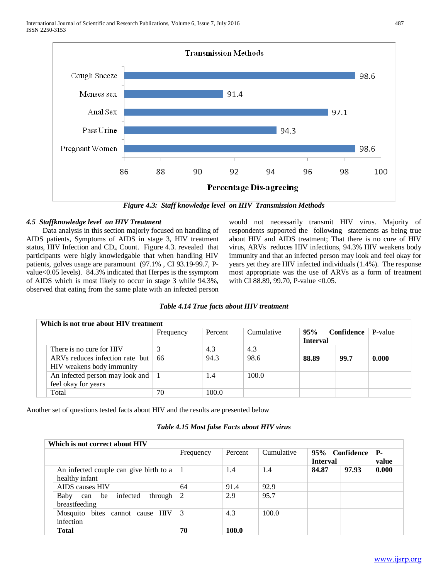

*Figure 4.3: Staff knowledge level on HIV Transmission Methods*

## *4.5 Staffknowledge level on HIV Treatment*

 Data analysis in this section majorly focused on handling of AIDS patients, Symptoms of AIDS in stage 3, HIV treatment status, HIV Infection and  $CD_4$  Count. Figure 4.3. revealed that participants were higly knowledgable that when handling HIV patients, golves usage are paramount (97.1% , CI 93.19-99.7, Pvalue<0.05 levels). 84.3% indicated that Herpes is the ssymptom of AIDS which is most likely to occur in stage 3 while 94.3%, observed that eating from the same plate with an infected person would not necessarily transmit HIV virus. Majority of respondents supported the following statements as being true about HIV and AIDS treatment; That there is no cure of HIV virus, ARVs reduces HIV infections, 94.3% HIV weakens body immunity and that an infected person may look and feel okay for years yet they are HIV infected individuals (1.4%). The response most appropriate was the use of ARVs as a form of treatment with CI 88.89, 99.70, P-value <0.05.

# *Table 4.14 True facts about HIV treatment*

|  | Which is not true about HIV treatment                        |           |         |            |                        |            |         |  |  |
|--|--------------------------------------------------------------|-----------|---------|------------|------------------------|------------|---------|--|--|
|  |                                                              | Frequency | Percent | Cumulative | 95%<br><b>Interval</b> | Confidence | P-value |  |  |
|  | There is no cure for HIV                                     | 3         | 4.3     | 4.3        |                        |            |         |  |  |
|  | ARVs reduces infection rate but<br>HIV weakens body immunity | -66       | 94.3    | 98.6       | 88.89                  | 99.7       | 0.000   |  |  |
|  | An infected person may look and<br>feel okay for years       |           | 1.4     | 100.0      |                        |            |         |  |  |
|  | Total                                                        | 70        | 100.0   |            |                        |            |         |  |  |

Another set of questions tested facts about HIV and the results are presented below

#### *Table 4.15 Most false Facts about HIV virus*

|  | Which is not correct about HIV                           |           |         |            |                                   |       |                     |  |  |
|--|----------------------------------------------------------|-----------|---------|------------|-----------------------------------|-------|---------------------|--|--|
|  |                                                          | Frequency | Percent | Cumulative | 95% Confidence<br><b>Interval</b> |       | <b>P</b> -<br>value |  |  |
|  | An infected couple can give birth to a<br>healthy infant |           | 1.4     | 1.4        | 84.87                             | 97.93 | 0.000               |  |  |
|  | AIDS causes HIV                                          | 64        | 91.4    | 92.9       |                                   |       |                     |  |  |
|  | infected<br>through<br>Baby<br>can be<br>breastfeeding   | 2         | 2.9     | 95.7       |                                   |       |                     |  |  |
|  | Mosquito bites cannot cause HIV<br>infection             | 3         | 4.3     | 100.0      |                                   |       |                     |  |  |
|  | <b>Total</b>                                             | 70        | 100.0   |            |                                   |       |                     |  |  |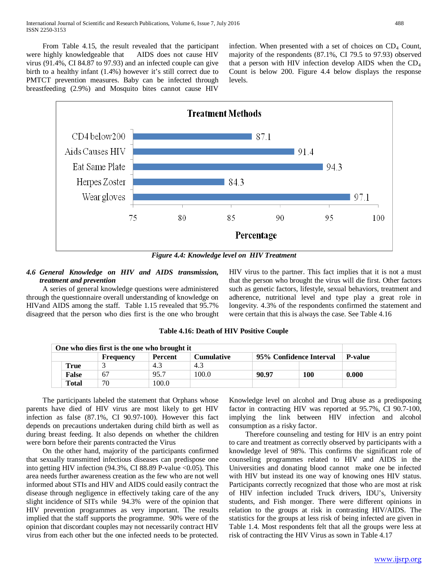From Table 4.15, the result revealed that the participant were highly knowledgeable that AIDS does not cause HIV virus (91.4%, CI 84.87 to 97.93) and an infected couple can give birth to a healthy infant (1.4%) however it's still correct due to PMTCT prevention measures. Baby can be infected through breastfeeding (2.9%) and Mosquito bites cannot cause HIV

infection. When presented with a set of choices on  $CD_4$  Count, majority of the respondents (87.1%, CI 79.5 to 97.93) observed that a person with HIV infection develop AIDS when the  $CD<sub>4</sub>$ Count is below 200. Figure 4.4 below displays the response levels.



*Figure 4.4: Knowledge level on HIV Treatment*

## *4.6 General Knowledge on HIV and AIDS transmission, treatment and prevention*

 A series of general knowledge questions were administered through the questionnaire overall understanding of knowledge on HIVand AIDS among the staff. Table 1.15 revealed that 95.7% disagreed that the person who dies first is the one who brought HIV virus to the partner. This fact implies that it is not a must that the person who brought the virus will die first. Other factors such as genetic factors, lifestyle, sexual behaviors, treatment and adherence, nutritional level and type play a great role in longevity. 4.3% of the respondents confirmed the statement and were certain that this is always the case. See Table 4.16

| One who dies first is the one who brought it                         |              |    |       |       |       |                |       |  |
|----------------------------------------------------------------------|--------------|----|-------|-------|-------|----------------|-------|--|
| 95% Confidence Interval<br>Cumulative<br><b>Percent</b><br>Frequency |              |    |       |       |       | <b>P-value</b> |       |  |
|                                                                      | True         |    | 4.3   | 4.3   |       |                |       |  |
|                                                                      | <b>False</b> | 67 | 95.7  | 100.0 | 90.97 | 100            | 0.000 |  |
|                                                                      | <b>Total</b> | 70 | 100.0 |       |       |                |       |  |

**Table 4.16: Death of HIV Positive Couple**

 The participants labeled the statement that Orphans whose parents have died of HIV virus are most likely to get HIV infection as false (87.1%, CI 90.97-100). However this fact depends on precautions undertaken during child birth as well as during breast feeding. It also depends on whether the children were born before their parents contracted the Virus

 On the other hand, majority of the participants confirmed that sexually transmitted infectious diseases can predispose one into getting HIV infection  $(94.3\%, \text{CI } 88.89 \text{ P-value} < 0.05)$ . This area needs further awareness creation as the few who are not well informed about STIs and HIV and AIDS could easily contract the disease through negligence in effectively taking care of the any slight incidence of SITs while 94.3% were of the opinion that HIV prevention programmes as very important. The results implied that the staff supports the programme. 90% were of the opinion that discordant couples may not necessarily contract HIV virus from each other but the one infected needs to be protected.

Knowledge level on alcohol and Drug abuse as a predisposing factor in contracting HIV was reported at 95.7%, CI 90.7-100, implying the link between HIV infection and alcohol consumption as a risky factor.

 Therefore counseling and testing for HIV is an entry point to care and treatment as correctly observed by participants with a knowledge level of 98%. This confirms the significant role of counseling programmes related to HIV and AIDS in the Universities and donating blood cannot make one be infected with HIV but instead its one way of knowing ones HIV status. Participants correctly recognized that those who are most at risk of HIV infection included Truck drivers, IDU's, University students, and Fish monger. There were different opinions in relation to the groups at risk in contrasting HIV/AIDS. The statistics for the groups at less risk of being infected are given in Table 1.4. Most respondents felt that all the groups were less at risk of contracting the HIV Virus as sown in Table 4.17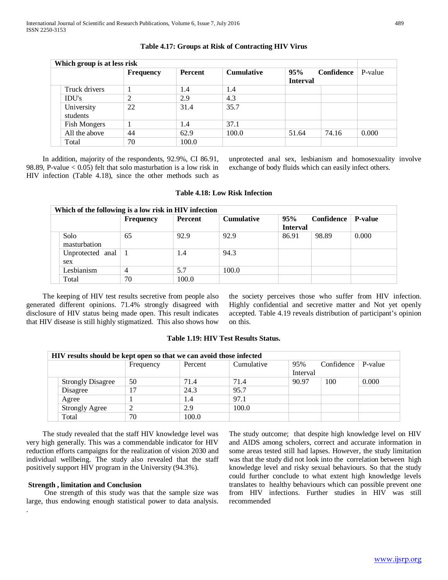| Which group is at less risk |                        |                  |                |                   |                        |            |         |
|-----------------------------|------------------------|------------------|----------------|-------------------|------------------------|------------|---------|
|                             |                        | <b>Frequency</b> | <b>Percent</b> | <b>Cumulative</b> | 95%<br><b>Interval</b> | Confidence | P-value |
|                             | Truck drivers          |                  | 1.4            | 1.4               |                        |            |         |
|                             | <b>IDU's</b>           | $\overline{2}$   | 2.9            | 4.3               |                        |            |         |
|                             | University<br>students | 22               | 31.4           | 35.7              |                        |            |         |
|                             | <b>Fish Mongers</b>    |                  | 1.4            | 37.1              |                        |            |         |
|                             | All the above          | 44               | 62.9           | 100.0             | 51.64                  | 74.16      | 0.000   |
|                             | Total                  | 70               | 100.0          |                   |                        |            |         |

## **Table 4.17: Groups at Risk of Contracting HIV Virus**

 In addition, majority of the respondents, 92.9%, CI 86.91, 98.89, P-value  $< 0.05$ ) felt that solo masturbation is a low risk in HIV infection (Table 4.18), since the other methods such as unprotected anal sex, lesbianism and homosexuality involve exchange of body fluids which can easily infect others.

#### **Table 4.18: Low Risk Infection**

| Which of the following is a low risk in HIV infection |                  |         |                   |                        |            |                |  |  |
|-------------------------------------------------------|------------------|---------|-------------------|------------------------|------------|----------------|--|--|
|                                                       | <b>Frequency</b> | Percent | <b>Cumulative</b> | 95%<br><b>Interval</b> | Confidence | <b>P-value</b> |  |  |
| Solo<br>masturbation                                  | 65               | 92.9    | 92.9              | 86.91                  | 98.89      | 0.000          |  |  |
| Unprotected anal $\vert$ 1<br>sex                     |                  | 1.4     | 94.3              |                        |            |                |  |  |
| Lesbianism                                            | 4                | 5.7     | 100.0             |                        |            |                |  |  |
| Total                                                 | 70               | 100.0   |                   |                        |            |                |  |  |

 The keeping of HIV test results secretive from people also generated different opinions. 71.4% strongly disagreed with disclosure of HIV status being made open. This result indicates that HIV disease is still highly stigmatized. This also shows how

the society perceives those who suffer from HIV infection. Highly confidential and secretive matter and Not yet openly accepted. Table 4.19 reveals distribution of participant's opinion on this.

## **Table 1.19: HIV Test Results Status.**

| HIV results should be kept open so that we can avoid those infected |           |         |            |                 |            |         |  |  |
|---------------------------------------------------------------------|-----------|---------|------------|-----------------|------------|---------|--|--|
|                                                                     | Frequency | Percent | Cumulative | 95%<br>Interval | Confidence | P-value |  |  |
| <b>Strongly Disagree</b>                                            | 50        | 71.4    | 71.4       | 90.97           | 100        | 0.000   |  |  |
| Disagree                                                            | 17        | 24.3    | 95.7       |                 |            |         |  |  |
| Agree                                                               |           | 1.4     | 97.1       |                 |            |         |  |  |
| <b>Strongly Agree</b>                                               | ∍         | 2.9     | 100.0      |                 |            |         |  |  |
| Total                                                               | 70        | 100.0   |            |                 |            |         |  |  |

 The study revealed that the staff HIV knowledge level was very high generally. This was a commendable indicator for HIV reduction efforts campaigns for the realization of vision 2030 and individual wellbeing. The study also revealed that the staff positively support HIV program in the University (94.3%).

#### **Strength , limitation and Conclusion**

.

 One strength of this study was that the sample size was large, thus endowing enough statistical power to data analysis.

The study outcome; that despite high knowledge level on HIV and AIDS among scholers, correct and accurate information in some areas tested still had lapses. However, the study limitation was that the study did not look into the correlation between high knowledge level and risky sexual behaviours. So that the study could further conclude to what extent high knowledge levels translates to healthy behaviours which can possible prevent one from HIV infections. Further studies in HIV was still recommended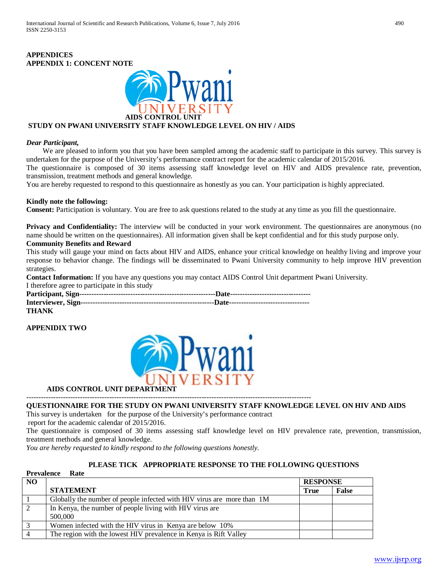# **APPENDICES APPENDIX 1: CONCENT NOTE**



# **STUDY ON PWANI UNIVERSITY STAFF KNOWLEDGE LEVEL ON HIV / AIDS**

## *Dear Participant,*

We are pleased to inform you that you have been sampled among the academic staff to participate in this survey. This survey is undertaken for the purpose of the University's performance contract report for the academic calendar of 2015/2016.

The questionnaire is composed of 30 items assessing staff knowledge level on HIV and AIDS prevalence rate, prevention, transmission, treatment methods and general knowledge.

You are hereby requested to respond to this questionnaire as honestly as you can. Your participation is highly appreciated.

#### **Kindly note the following:**

**Consent:** Participation is voluntary. You are free to ask questions related to the study at any time as you fill the questionnaire.

**Privacy and Confidentiality:** The interview will be conducted in your work environment. The questionnaires are anonymous (no name should be written on the questionnaires). All information given shall be kept confidential and for this study purpose only.

## **Community Benefits and Reward**

This study will gauge your mind on facts about HIV and AIDS, enhance your critical knowledge on healthy living and improve your response to behavior change. The findings will be disseminated to Pwani University community to help improve HIV prevention strategies.

**Contact Information:** If you have any questions you may contact AIDS Control Unit department Pwani University.

I therefore agree to participate in this study

| <b>THANK</b> |  |
|--------------|--|

## **APPENIDIX TWO**

**Prevalence Rate**



 **AIDS CONTROL UNIT DEPARTMENT** ---------------------------------------------------------------------------------------------------------------------

## **QUESTIONNAIRE FOR THE STUDY ON PWANI UNIVERSITY STAFF KNOWLEDGE LEVEL ON HIV AND AIDS**

This survey is undertaken for the purpose of the University's performance contract

report for the academic calendar of 2015/2016.

The questionnaire is composed of 30 items assessing staff knowledge level on HIV prevalence rate, prevention, transmission, treatment methods and general knowledge.

*You are hereby requested to kindly respond to the following questions honestly.*

## **PLEASE TICK APPROPRIATE RESPONSE TO THE FOLLOWING QUESTIONS**

|     | 11 Cyanthu<br>- Isau                                                   |             |                 |  |  |  |  |
|-----|------------------------------------------------------------------------|-------------|-----------------|--|--|--|--|
| NO. |                                                                        |             | <b>RESPONSE</b> |  |  |  |  |
|     | <b>STATEMENT</b>                                                       | <b>True</b> | <b>False</b>    |  |  |  |  |
|     | Globally the number of people infected with HIV virus are more than 1M |             |                 |  |  |  |  |
|     | In Kenya, the number of people living with HIV virus are               |             |                 |  |  |  |  |
|     | 500,000                                                                |             |                 |  |  |  |  |
|     | Women infected with the HIV virus in Kenya are below 10%               |             |                 |  |  |  |  |
|     | The region with the lowest HIV prevalence in Kenya is Rift Valley      |             |                 |  |  |  |  |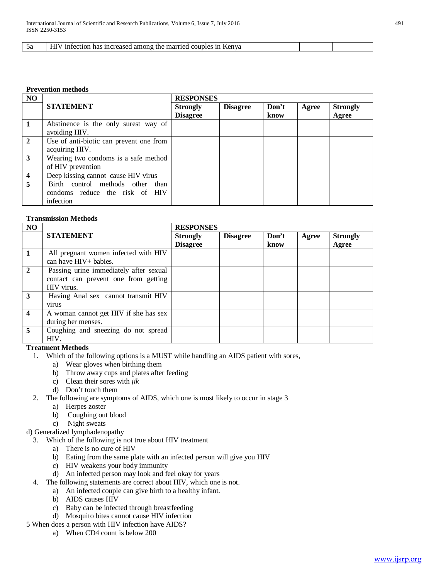#### 5a HIV infection has increased among the married couples in Kenya

#### **Prevention methods**

| NO             |                                                                                 | <b>RESPONSES</b>                   |                 |               |       |                          |
|----------------|---------------------------------------------------------------------------------|------------------------------------|-----------------|---------------|-------|--------------------------|
|                | <b>STATEMENT</b>                                                                | <b>Strongly</b><br><b>Disagree</b> | <b>Disagree</b> | Don't<br>know | Agree | <b>Strongly</b><br>Agree |
| $\vert$ 1      | Abstinence is the only surest way of<br>avoiding HIV.                           |                                    |                 |               |       |                          |
| $\sqrt{2}$     | Use of anti-biotic can prevent one from<br>acquiring HIV.                       |                                    |                 |               |       |                          |
| $\overline{3}$ | Wearing two condoms is a safe method<br>of HIV prevention                       |                                    |                 |               |       |                          |
| $\overline{4}$ | Deep kissing cannot cause HIV virus                                             |                                    |                 |               |       |                          |
| $\overline{5}$ | Birth control methods other than<br>condoms reduce the risk of HIV<br>infection |                                    |                 |               |       |                          |

#### **Transmission Methods**

| <b>NO</b>        |                                                                                              | <b>RESPONSES</b>                   |                 |               |       |                          |
|------------------|----------------------------------------------------------------------------------------------|------------------------------------|-----------------|---------------|-------|--------------------------|
|                  | <b>STATEMENT</b>                                                                             | <b>Strongly</b><br><b>Disagree</b> | <b>Disagree</b> | Don't<br>know | Agree | <b>Strongly</b><br>Agree |
| $\blacksquare$   | All pregnant women infected with HIV<br>can have HIV+ babies.                                |                                    |                 |               |       |                          |
| $\overline{2}$   | Passing urine immediately after sexual<br>contact can prevent one from getting<br>HIV virus. |                                    |                 |               |       |                          |
| 3                | Having Anal sex cannot transmit HIV<br>virus                                                 |                                    |                 |               |       |                          |
| $\boldsymbol{4}$ | A woman cannot get HIV if she has sex<br>during her menses.                                  |                                    |                 |               |       |                          |
| $\overline{5}$   | Coughing and sneezing do not spread<br>HIV.                                                  |                                    |                 |               |       |                          |

## **Treatment Methods**

- 1. Which of the following options is a MUST while handling an AIDS patient with sores,
	- a) Wear gloves when birthing them
	- b) Throw away cups and plates after feeding
	- c) Clean their sores with *jik*
	- d) Don't touch them
- 2. The following are symptoms of AIDS, which one is most likely to occur in stage 3
- a) Herpes zoster
	- b) Coughing out blood
	- c) Night sweats
- d) Generalized lymphadenopathy
	- 3. Which of the following is not true about HIV treatment
		- a) There is no cure of HIV
		- b) Eating from the same plate with an infected person will give you HIV
		- c) HIV weakens your body immunity
		- d) An infected person may look and feel okay for years
	- 4. The following statements are correct about HIV, which one is not.
		- a) An infected couple can give birth to a healthy infant.
			- b) AIDS causes HIV
			- c) Baby can be infected through breastfeeding
			- d) Mosquito bites cannot cause HIV infection

5 When does a person with HIV infection have AIDS?

a) When CD4 count is below 200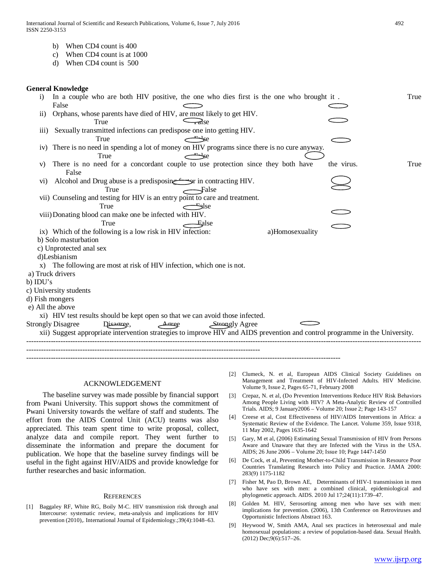- b) When CD4 count is 400
- c) When CD4 count is at 1000
- d) When CD4 count is 500

#### **General Knowledge**

| $\mathbf{i}$     | In a couple who are both HIV positive, the one who dies first is the one who brought it.                                     |            | True |
|------------------|------------------------------------------------------------------------------------------------------------------------------|------------|------|
|                  | False                                                                                                                        |            |      |
| $\overline{11}$  | Orphans, whose parents have died of HIV, are most likely to get HIV.                                                         |            |      |
|                  | $-\tau$ alse<br>True                                                                                                         |            |      |
| $\overline{111}$ | Sexually transmitted infections can predispose one into getting HIV.                                                         |            |      |
|                  | True                                                                                                                         |            |      |
|                  | iv) There is no need in spending a lot of money on HIV programs since there is no cure anyway.                               |            |      |
|                  | $\leftarrow$ se<br>True                                                                                                      |            |      |
| V)               | There is no need for a concordant couple to use protection since they both have                                              | the virus. | True |
|                  | False                                                                                                                        |            |      |
| V(1)             | Alcohol and Drug abuse is a predisposing Syr in contracting HIV.                                                             |            |      |
|                  | False<br>True                                                                                                                |            |      |
|                  | vii) Counseling and testing for HIV is an entry point to care and treatment.                                                 |            |      |
|                  | True<br>$\leftarrow$ slse                                                                                                    |            |      |
|                  | viii) Donating blood can make one be infected with HIV.                                                                      |            |      |
|                  | True<br>Ealse                                                                                                                |            |      |
|                  | ix) Which of the following is a low risk in HIV infection:<br>a)Homosexuality                                                |            |      |
|                  | b) Solo masturbation                                                                                                         |            |      |
|                  | c) Unprotected anal sex                                                                                                      |            |      |
|                  | d)Lesbianism                                                                                                                 |            |      |
|                  | x) The following are most at risk of HIV infection, which one is not.                                                        |            |      |
|                  | a) Truck drivers                                                                                                             |            |      |
| b) IDU's         |                                                                                                                              |            |      |
|                  | c) University students                                                                                                       |            |      |
|                  | d) Fish mongers                                                                                                              |            |      |
|                  | e) All the above                                                                                                             |            |      |
|                  | xi) HIV test results should be kept open so that we can avoid those infected.                                                |            |      |
|                  | <b>Strongly Disagree</b><br>Dissarge,<br>Strongly Agree<br>Agree                                                             |            |      |
|                  | xii) Suggest appropriate intervention strategies to improve HIV and AIDS prevention and control programme in the University. |            |      |
|                  |                                                                                                                              |            |      |
|                  |                                                                                                                              |            |      |
|                  |                                                                                                                              |            |      |

#### ACKNOWLEDGEMENT

 The baseline survey was made possible by financial support from Pwani University. This support shows the commitment of Pwani University towards the welfare of staff and students. The effort from the AIDS Control Unit (ACU) teams was also appreciated. This team spent time to write proposal, collect, analyze data and compile report. They went further to disseminate the information and prepare the document for publication. We hope that the baseline survey findings will be useful in the fight against HIV/AIDS and provide knowledge for further researches and basic information.

#### **REFERENCES**

[1] Baggaley RF, White RG, Boily M-C. HIV transmission risk through anal Intercourse: systematic review, meta-analysis and implications for HIV prevention (2010),. International Journal of Epidemiology.;39(4):1048–63.

- [2] Clumeck, N. et al, European AIDS Clinical Society Guidelines on Management and Treatment of HIV-Infected Adults. HIV Medicine. Volume 9, Issue 2, Pages 65-71, February 2008
- [3] Crepaz, N. et al, (Do Prevention Interventions Reduce HIV Risk Behaviors Among People Living with HIV? A Meta-Analytic Review of Controlled Trials. AIDS; 9 January2006 – Volume 20; Issue 2; Page 143-157
- [4] Creese et al, Cost Effectiveness of HIV/AIDS Interventions in Africa: a Systematic Review of the Evidence. The Lancet. Volume 359, Issue 9318, 11 May 2002, Pages 1635-1642
- [5] Gary, M et al, (2006) Estimating Sexual Transmission of HIV from Persons Aware and Unaware that they are Infected with the Virus in the USA. AIDS; 26 June 2006 – Volume 20; Issue 10; Page 1447-1450
- [6] De Cock, et al, Preventing Mother-to-Child Transmission in Resource Poor Countries Translating Research into Policy and Practice. JAMA 2000: 283(9) 1175-1182
- [7] Fisher M, Pao D, Brown AE, Determinants of HIV-1 transmission in men who have sex with men: a combined clinical, epidemiological and phylogenetic approach. AIDS. 2010 Jul 17;24(11):1739–47.
- [8] Golden M. HIV, Serosorting among men who have sex with men: implications for prevention. (2006), 13th Conference on Retroviruses and Opportunistic Infections Abstract 163.
- [9] Heywood W, Smith AMA, Anal sex practices in heterosexual and male homosexual populations: a review of population-based data. Sexual Health. (2012) Dec;9(6):517–26.